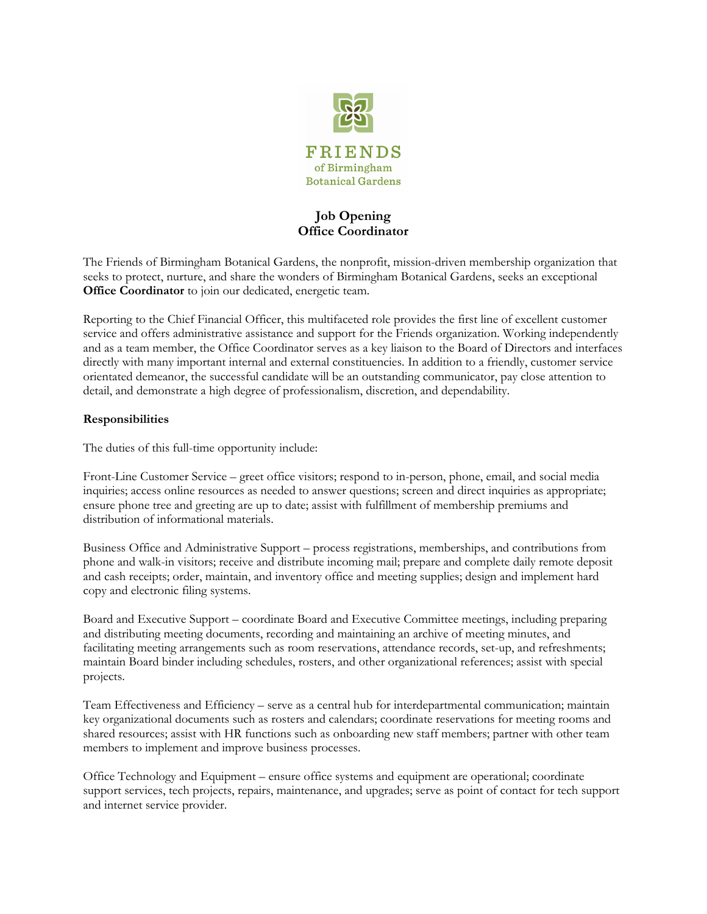

# **Job Opening Office Coordinator**

The Friends of Birmingham Botanical Gardens, the nonprofit, mission-driven membership organization that seeks to protect, nurture, and share the wonders of Birmingham Botanical Gardens, seeks an exceptional **Office Coordinator** to join our dedicated, energetic team.

Reporting to the Chief Financial Officer, this multifaceted role provides the first line of excellent customer service and offers administrative assistance and support for the Friends organization. Working independently and as a team member, the Office Coordinator serves as a key liaison to the Board of Directors and interfaces directly with many important internal and external constituencies. In addition to a friendly, customer service orientated demeanor, the successful candidate will be an outstanding communicator, pay close attention to detail, and demonstrate a high degree of professionalism, discretion, and dependability.

## **Responsibilities**

The duties of this full-time opportunity include:

Front-Line Customer Service – greet office visitors; respond to in-person, phone, email, and social media inquiries; access online resources as needed to answer questions; screen and direct inquiries as appropriate; ensure phone tree and greeting are up to date; assist with fulfillment of membership premiums and distribution of informational materials.

Business Office and Administrative Support – process registrations, memberships, and contributions from phone and walk-in visitors; receive and distribute incoming mail; prepare and complete daily remote deposit and cash receipts; order, maintain, and inventory office and meeting supplies; design and implement hard copy and electronic filing systems.

Board and Executive Support – coordinate Board and Executive Committee meetings, including preparing and distributing meeting documents, recording and maintaining an archive of meeting minutes, and facilitating meeting arrangements such as room reservations, attendance records, set-up, and refreshments; maintain Board binder including schedules, rosters, and other organizational references; assist with special projects.

Team Effectiveness and Efficiency – serve as a central hub for interdepartmental communication; maintain key organizational documents such as rosters and calendars; coordinate reservations for meeting rooms and shared resources; assist with HR functions such as onboarding new staff members; partner with other team members to implement and improve business processes.

Office Technology and Equipment – ensure office systems and equipment are operational; coordinate support services, tech projects, repairs, maintenance, and upgrades; serve as point of contact for tech support and internet service provider.